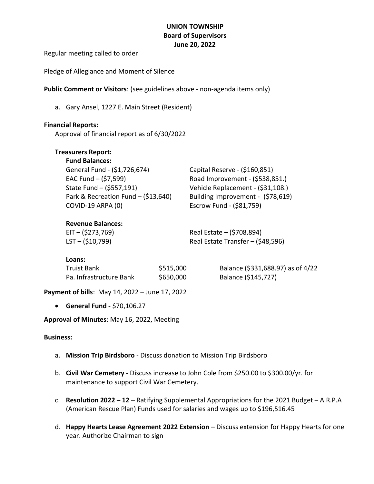# UNION TOWNSHIP Board of Supervisors June 20, 2022

Regular meeting called to order

Pledge of Allegiance and Moment of Silence

Public Comment or Visitors: (see guidelines above - non-agenda items only)

a. Gary Ansel, 1227 E. Main Street (Resident)

### Financial Reports:

Approval of financial report as of 6/30/2022

| <b>Treasurers Report:</b> |   |
|---------------------------|---|
|                           | . |

| <b>Fund Balances:</b>                 |                                   |
|---------------------------------------|-----------------------------------|
| General Fund - (\$1,726,674)          | Capital Reserve - (\$160,851)     |
| EAC Fund $-$ (\$7,599)                | Road Improvement - (\$538,851.)   |
| State Fund - (\$557,191)              | Vehicle Replacement - (\$31,108.) |
| Park & Recreation Fund $-$ (\$13,640) | Building Improvement - (\$78,619) |
| COVID-19 ARPA (0)                     | Escrow Fund - (\$81,759)          |

### Revenue Balances:

EIT – (\$273,769) Real Estate – (\$708,894) LST – (\$10,799) Real Estate Transfer – (\$48,596)

### Loans:

| Truist Bank             | \$515,000 |
|-------------------------|-----------|
| Pa. Infrastructure Bank | \$650,000 |

D Balance (\$331,688.97) as of 4/22 P. Infrastructure **Balance (\$145,727)** 

Payment of bills: May 14, 2022 – June 17, 2022

General Fund - \$70,106.27

Approval of Minutes: May 16, 2022, Meeting

### Business:

- a. Mission Trip Birdsboro Discuss donation to Mission Trip Birdsboro
- b. Civil War Cemetery Discuss increase to John Cole from \$250.00 to \$300.00/yr. for maintenance to support Civil War Cemetery.
- c. Resolution 2022 12 Ratifying Supplemental Appropriations for the 2021 Budget A.R.P.A (American Rescue Plan) Funds used for salaries and wages up to \$196,516.45
- d. Happy Hearts Lease Agreement 2022 Extension Discuss extension for Happy Hearts for one year. Authorize Chairman to sign